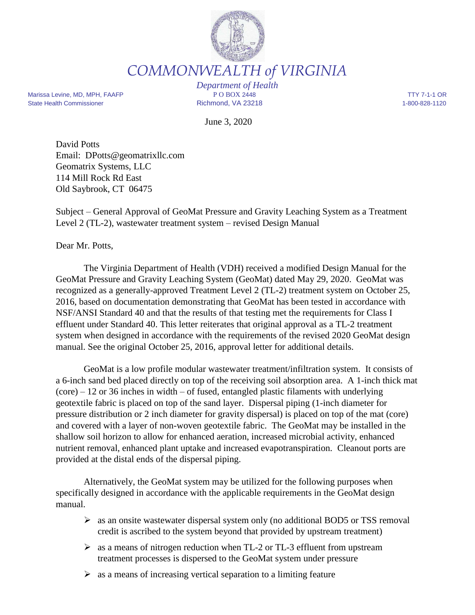

*COMMONWEALTH of VIRGINIA*

Marissa Levine, MD, MPH, FAAFP **P** O BOX 2448 TTY 7-1-1 OR State Health Commissioner **Richmond, VA 23218** 1-800-828-1120

*Department of Health*

June 3, 2020

David Potts Email: DPotts@geomatrixllc.com Geomatrix Systems, LLC 114 Mill Rock Rd East Old Saybrook, CT 06475

Subject – General Approval of GeoMat Pressure and Gravity Leaching System as a Treatment Level 2 (TL-2), wastewater treatment system – revised Design Manual

Dear Mr. Potts,

The Virginia Department of Health (VDH) received a modified Design Manual for the GeoMat Pressure and Gravity Leaching System (GeoMat) dated May 29, 2020. GeoMat was recognized as a generally-approved Treatment Level 2 (TL-2) treatment system on October 25, 2016, based on documentation demonstrating that GeoMat has been tested in accordance with NSF/ANSI Standard 40 and that the results of that testing met the requirements for Class I effluent under Standard 40. This letter reiterates that original approval as a TL-2 treatment system when designed in accordance with the requirements of the revised 2020 GeoMat design manual. See the original October 25, 2016, approval letter for additional details.

GeoMat is a low profile modular wastewater treatment/infiltration system. It consists of a 6-inch sand bed placed directly on top of the receiving soil absorption area. A 1-inch thick mat  $(core) - 12$  or 36 inches in width – of fused, entangled plastic filaments with underlying geotextile fabric is placed on top of the sand layer. Dispersal piping (1-inch diameter for pressure distribution or 2 inch diameter for gravity dispersal) is placed on top of the mat (core) and covered with a layer of non-woven geotextile fabric. The GeoMat may be installed in the shallow soil horizon to allow for enhanced aeration, increased microbial activity, enhanced nutrient removal, enhanced plant uptake and increased evapotranspiration. Cleanout ports are provided at the distal ends of the dispersal piping.

Alternatively, the GeoMat system may be utilized for the following purposes when specifically designed in accordance with the applicable requirements in the GeoMat design manual.

- as an onsite wastewater dispersal system only (no additional BOD5 or TSS removal credit is ascribed to the system beyond that provided by upstream treatment)
- $\geq$  as a means of nitrogen reduction when TL-2 or TL-3 effluent from upstream treatment processes is dispersed to the GeoMat system under pressure
- $\triangleright$  as a means of increasing vertical separation to a limiting feature